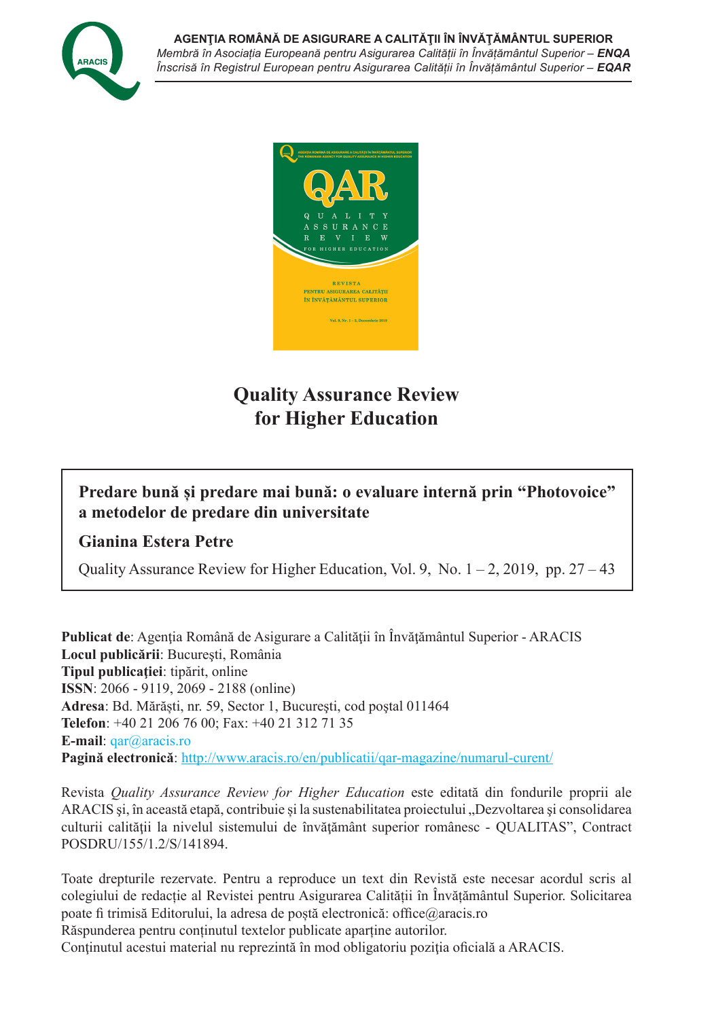



# **Quality Assurance Review for Higher Education**

# **Predare bună și predare mai bună: o evaluare internă prin "Photovoice" a metodelor de predare din universitate**

# **Gianina Estera Petre**

Quality Assurance Review for Higher Education, Vol. 9, No.  $1 - 2$ , 2019, pp. 27 – 43

**Publicat de**: Agenția Română de Asigurare a Calității în Învățământul Superior - ARACIS **Locul publicării**: Bucureşti, România **Tipul publicaţiei**: tipărit, online **ISSN**: 2066 - 9119, 2069 - 2188 (online) **Adresa**: Bd. Mărăști, nr. 59, Sector 1, Bucureşti, cod poştal 011464 **Telefon**: +40 21 206 76 00; Fax: +40 21 312 71 35 **E-mail**: qar@aracis.ro **Pagină electronică**: http://www.aracis.ro/en/publicatii/qar-magazine/numarul-curent/

Revista *Quality Assurance Review for Higher Education* este editată din fondurile proprii ale ARACIS și, în această etapă, contribuie și la sustenabilitatea proiectului "Dezvoltarea și consolidarea culturii calităţii la nivelul sistemului de învăţământ superior românesc - QUALITAS", Contract POSDRU/155/1.2/S/141894.

Toate drepturile rezervate. Pentru a reproduce un text din Revistă este necesar acordul scris al colegiului de redacție al Revistei pentru Asigurarea Calității în Învățământul Superior. Solicitarea poate fi trimisă Editorului, la adresa de poștă electronică: office@aracis.ro Răspunderea pentru conținutul textelor publicate aparține autorilor.

Conținutul acestui material nu reprezintă în mod obligatoriu poziția oficială a ARACIS.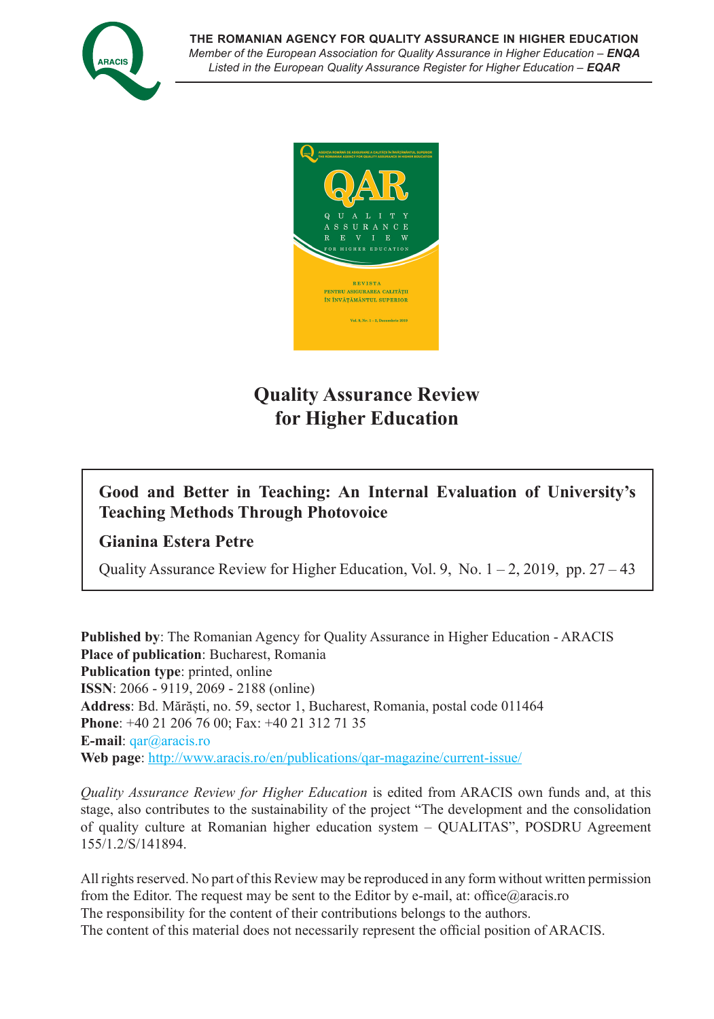



# **Quality Assurance Review for Higher Education**

# **Good and Better in Teaching: An Internal Evaluation of University's Teaching Methods Through Photovoice**

# **Gianina Estera Petre**

Quality Assurance Review for Higher Education, Vol. 9, No.  $1 - 2$ , 2019, pp. 27 – 43

**Published by**: The Romanian Agency for Quality Assurance in Higher Education - ARACIS **Place of publication**: Bucharest, Romania **Publication type**: printed, online **ISSN**: 2066 - 9119, 2069 - 2188 (online) **Address**: Bd. Mărăști, no. 59, sector 1, Bucharest, Romania, postal code 011464 **Phone**: +40 21 206 76 00; Fax: +40 21 312 71 35 **E-mail**: qar@aracis.ro **Web page**: http://www.aracis.ro/en/publications/qar-magazine/current-issue/

*Quality Assurance Review for Higher Education* is edited from ARACIS own funds and, at this stage, also contributes to the sustainability of the project "The development and the consolidation of quality culture at Romanian higher education system – QUALITAS", POSDRU Agreement 155/1.2/S/141894.

All rights reserved. No part of this Review may be reproduced in any form without written permission from the Editor. The request may be sent to the Editor by e-mail, at: office@aracis.ro The responsibility for the content of their contributions belongs to the authors. The content of this material does not necessarily represent the official position of ARACIS.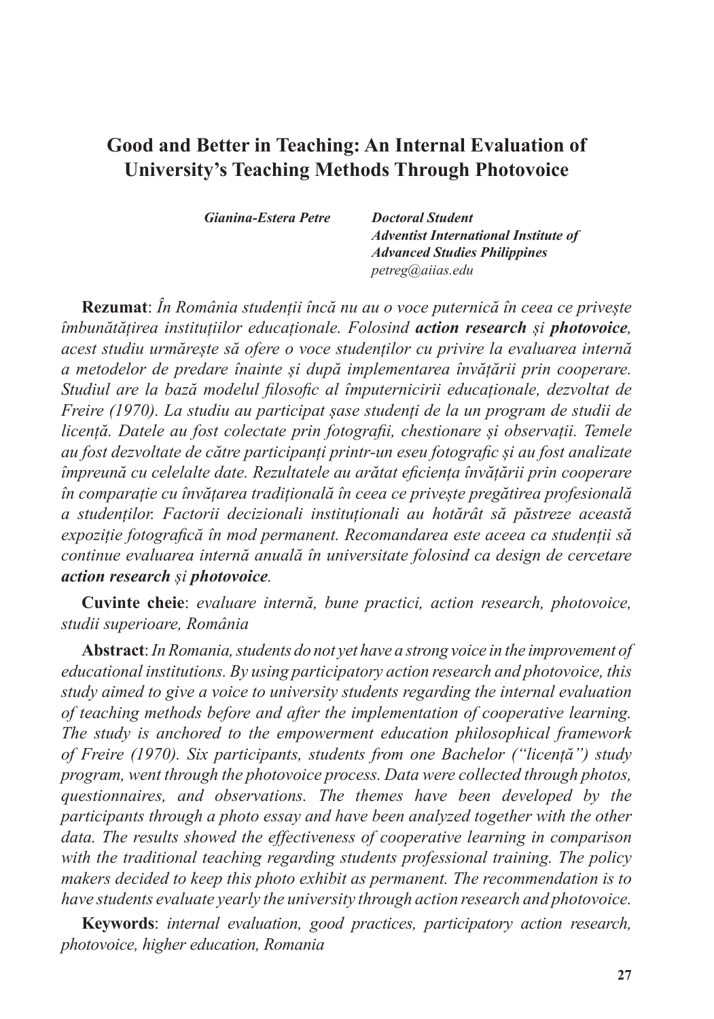# **Good and Better in Teaching: An Internal Evaluation of University's Teaching Methods Through Photovoice**

*Gianina-Estera Petre Doctoral Student*

 *Adventist International Institute of Advanced Studies Philippines petreg@aiias.edu*

**Rezumat**: *În România studenții încă nu au o voce puternică în ceea ce privește îmbunătățirea instituțiilor educaționale. Folosind action research și photovoice, acest studiu urmărește să ofere o voce studenților cu privire la evaluarea internă a metodelor de predare înainte și după implementarea învățării prin cooperare. Studiul are la bază modelul filosofic al împuternicirii educaționale, dezvoltat de Freire (1970). La studiu au participat șase studenți de la un program de studii de licență. Datele au fost colectate prin fotografii, chestionare și observații. Temele au fost dezvoltate de către participanți printr-un eseu fotografic și au fost analizate împreună cu celelalte date. Rezultatele au arătat eficiența învățării prin cooperare în comparație cu învățarea tradițională în ceea ce privește pregătirea profesională a studenților. Factorii decizionali instituționali au hotărât să păstreze această expoziție fotografică în mod permanent. Recomandarea este aceea ca studenții să continue evaluarea internă anuală în universitate folosind ca design de cercetare action research și photovoice.*

**Cuvinte cheie**: *evaluare internă, bune practici, action research, photovoice, studii superioare, România*

**Abstract**: *In Romania, students do not yet have a strong voice in the improvement of educational institutions. By using participatory action research and photovoice, this study aimed to give a voice to university students regarding the internal evaluation of teaching methods before and after the implementation of cooperative learning. The study is anchored to the empowerment education philosophical framework of Freire (1970). Six participants, students from one Bachelor ("licență") study program, went through the photovoice process. Data were collected through photos, questionnaires, and observations. The themes have been developed by the participants through a photo essay and have been analyzed together with the other data. The results showed the effectiveness of cooperative learning in comparison with the traditional teaching regarding students professional training. The policy makers decided to keep this photo exhibit as permanent. The recommendation is to have students evaluate yearly the university through action research and photovoice.*

**Keywords**: *internal evaluation, good practices, participatory action research, photovoice, higher education, Romania*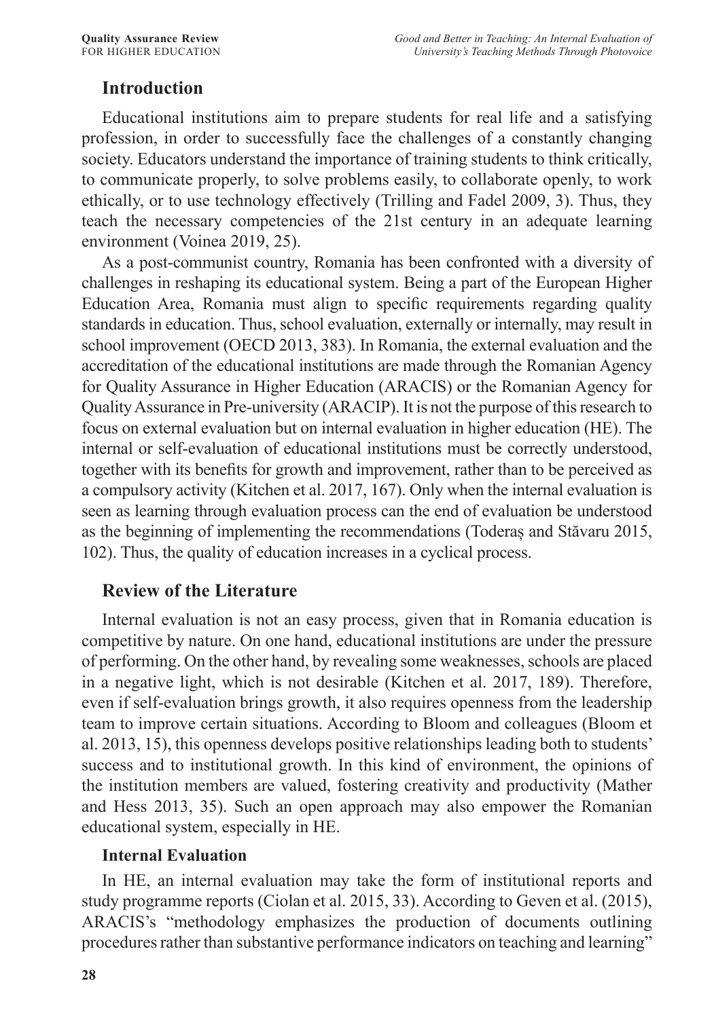## **Introduction**

Educational institutions aim to prepare students for real life and a satisfying profession, in order to successfully face the challenges of a constantly changing society. Educators understand the importance of training students to think critically, to communicate properly, to solve problems easily, to collaborate openly, to work ethically, or to use technology effectively (Trilling and Fadel 2009, 3). Thus, they teach the necessary competencies of the 21st century in an adequate learning environment (Voinea 2019, 25).

As a post-communist country, Romania has been confronted with a diversity of challenges in reshaping its educational system. Being a part of the European Higher Education Area, Romania must align to specific requirements regarding quality standards in education. Thus, school evaluation, externally or internally, may result in school improvement (OECD 2013, 383). In Romania, the external evaluation and the accreditation of the educational institutions are made through the Romanian Agency for Quality Assurance in Higher Education (ARACIS) or the Romanian Agency for Quality Assurance in Pre-university (ARACIP). It is not the purpose of this research to focus on external evaluation but on internal evaluation in higher education (HE). The internal or self-evaluation of educational institutions must be correctly understood, together with its benefits for growth and improvement, rather than to be perceived as a compulsory activity (Kitchen et al. 2017, 167). Only when the internal evaluation is seen as learning through evaluation process can the end of evaluation be understood as the beginning of implementing the recommendations (Toderaș and Stăvaru 2015, 102). Thus, the quality of education increases in a cyclical process.

## **Review of the Literature**

Internal evaluation is not an easy process, given that in Romania education is competitive by nature. On one hand, educational institutions are under the pressure of performing. On the other hand, by revealing some weaknesses, schools are placed in a negative light, which is not desirable (Kitchen et al. 2017, 189). Therefore, even if self-evaluation brings growth, it also requires openness from the leadership team to improve certain situations. According to Bloom and colleagues (Bloom et al. 2013, 15), this openness develops positive relationships leading both to students' success and to institutional growth. In this kind of environment, the opinions of the institution members are valued, fostering creativity and productivity (Mather and Hess 2013, 35). Such an open approach may also empower the Romanian educational system, especially in HE.

#### **Internal Evaluation**

In HE, an internal evaluation may take the form of institutional reports and study programme reports (Ciolan et al. 2015, 33). According to Geven et al. (2015), ARACIS's "methodology emphasizes the production of documents outlining procedures rather than substantive performance indicators on teaching and learning"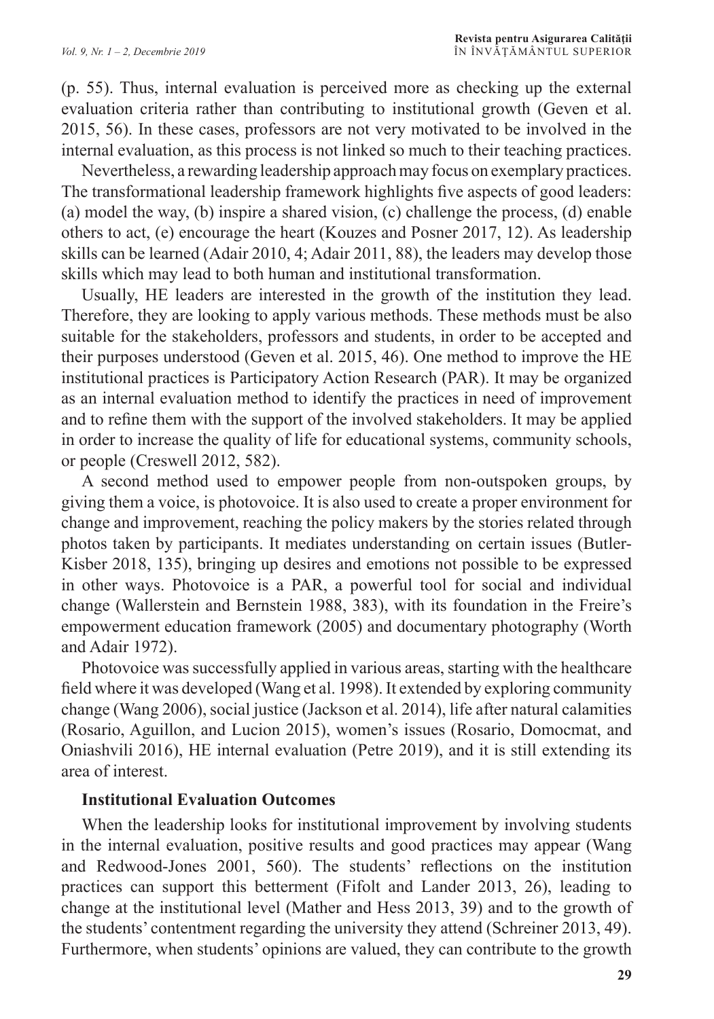(p. 55). Thus, internal evaluation is perceived more as checking up the external evaluation criteria rather than contributing to institutional growth (Geven et al. 2015, 56). In these cases, professors are not very motivated to be involved in the internal evaluation, as this process is not linked so much to their teaching practices.

Nevertheless, a rewarding leadership approach may focus on exemplary practices. The transformational leadership framework highlights five aspects of good leaders: (a) model the way, (b) inspire a shared vision, (c) challenge the process, (d) enable others to act, (e) encourage the heart (Kouzes and Posner 2017, 12). As leadership skills can be learned (Adair 2010, 4; Adair 2011, 88), the leaders may develop those skills which may lead to both human and institutional transformation.

Usually, HE leaders are interested in the growth of the institution they lead. Therefore, they are looking to apply various methods. These methods must be also suitable for the stakeholders, professors and students, in order to be accepted and their purposes understood (Geven et al. 2015, 46). One method to improve the HE institutional practices is Participatory Action Research (PAR). It may be organized as an internal evaluation method to identify the practices in need of improvement and to refine them with the support of the involved stakeholders. It may be applied in order to increase the quality of life for educational systems, community schools, or people (Creswell 2012, 582).

A second method used to empower people from non-outspoken groups, by giving them a voice, is photovoice. It is also used to create a proper environment for change and improvement, reaching the policy makers by the stories related through photos taken by participants. It mediates understanding on certain issues (Butler-Kisber 2018, 135), bringing up desires and emotions not possible to be expressed in other ways. Photovoice is a PAR, a powerful tool for social and individual change (Wallerstein and Bernstein 1988, 383), with its foundation in the Freire's empowerment education framework (2005) and documentary photography (Worth and Adair 1972).

Photovoice was successfully applied in various areas, starting with the healthcare field where it was developed (Wang et al. 1998). It extended by exploring community change (Wang 2006), social justice (Jackson et al. 2014), life after natural calamities (Rosario, Aguillon, and Lucion 2015), women's issues (Rosario, Domocmat, and Oniashvili 2016), HE internal evaluation (Petre 2019), and it is still extending its area of interest.

#### **Institutional Evaluation Outcomes**

When the leadership looks for institutional improvement by involving students in the internal evaluation, positive results and good practices may appear (Wang and Redwood-Jones 2001, 560). The students' reflections on the institution practices can support this betterment (Fifolt and Lander 2013, 26), leading to change at the institutional level (Mather and Hess 2013, 39) and to the growth of the students' contentment regarding the university they attend (Schreiner 2013, 49). Furthermore, when students' opinions are valued, they can contribute to the growth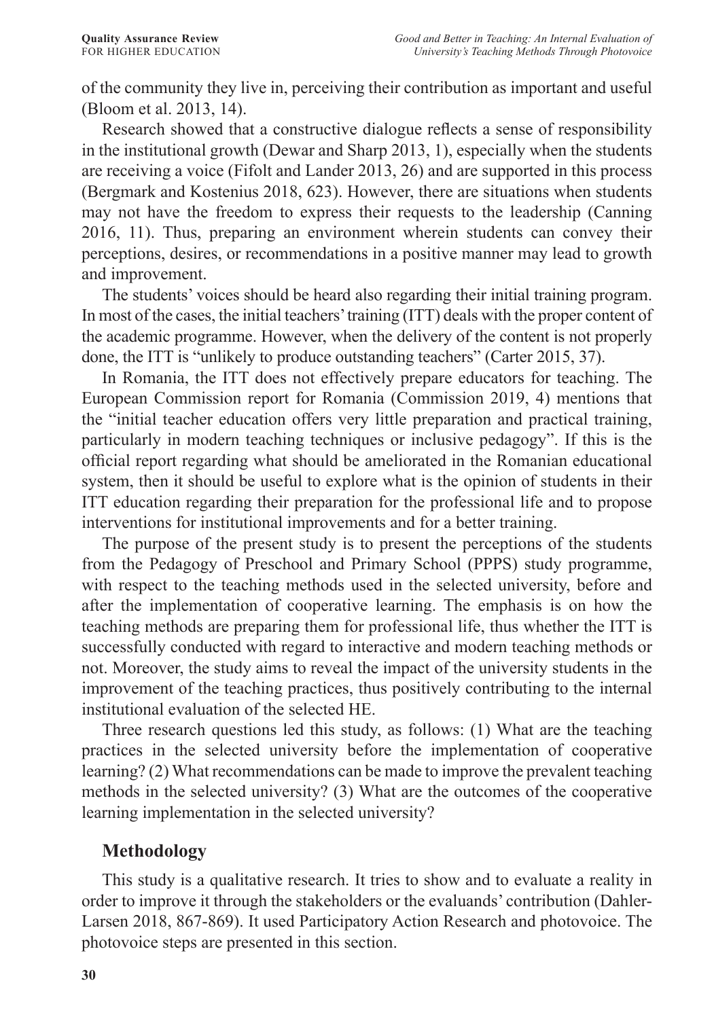of the community they live in, perceiving their contribution as important and useful (Bloom et al. 2013, 14).

Research showed that a constructive dialogue reflects a sense of responsibility in the institutional growth (Dewar and Sharp 2013, 1), especially when the students are receiving a voice (Fifolt and Lander 2013, 26) and are supported in this process (Bergmark and Kostenius 2018, 623). However, there are situations when students may not have the freedom to express their requests to the leadership (Canning 2016, 11). Thus, preparing an environment wherein students can convey their perceptions, desires, or recommendations in a positive manner may lead to growth and improvement.

The students' voices should be heard also regarding their initial training program. In most of the cases, the initial teachers' training (ITT) deals with the proper content of the academic programme. However, when the delivery of the content is not properly done, the ITT is "unlikely to produce outstanding teachers" (Carter 2015, 37).

In Romania, the ITT does not effectively prepare educators for teaching. The European Commission report for Romania (Commission 2019, 4) mentions that the "initial teacher education offers very little preparation and practical training, particularly in modern teaching techniques or inclusive pedagogy". If this is the official report regarding what should be ameliorated in the Romanian educational system, then it should be useful to explore what is the opinion of students in their ITT education regarding their preparation for the professional life and to propose interventions for institutional improvements and for a better training.

The purpose of the present study is to present the perceptions of the students from the Pedagogy of Preschool and Primary School (PPPS) study programme, with respect to the teaching methods used in the selected university, before and after the implementation of cooperative learning. The emphasis is on how the teaching methods are preparing them for professional life, thus whether the ITT is successfully conducted with regard to interactive and modern teaching methods or not. Moreover, the study aims to reveal the impact of the university students in the improvement of the teaching practices, thus positively contributing to the internal institutional evaluation of the selected HE.

Three research questions led this study, as follows: (1) What are the teaching practices in the selected university before the implementation of cooperative learning? (2) What recommendations can be made to improve the prevalent teaching methods in the selected university? (3) What are the outcomes of the cooperative learning implementation in the selected university?

## **Methodology**

This study is a qualitative research. It tries to show and to evaluate a reality in order to improve it through the stakeholders or the evaluands' contribution (Dahler-Larsen 2018, 867-869). It used Participatory Action Research and photovoice. The photovoice steps are presented in this section.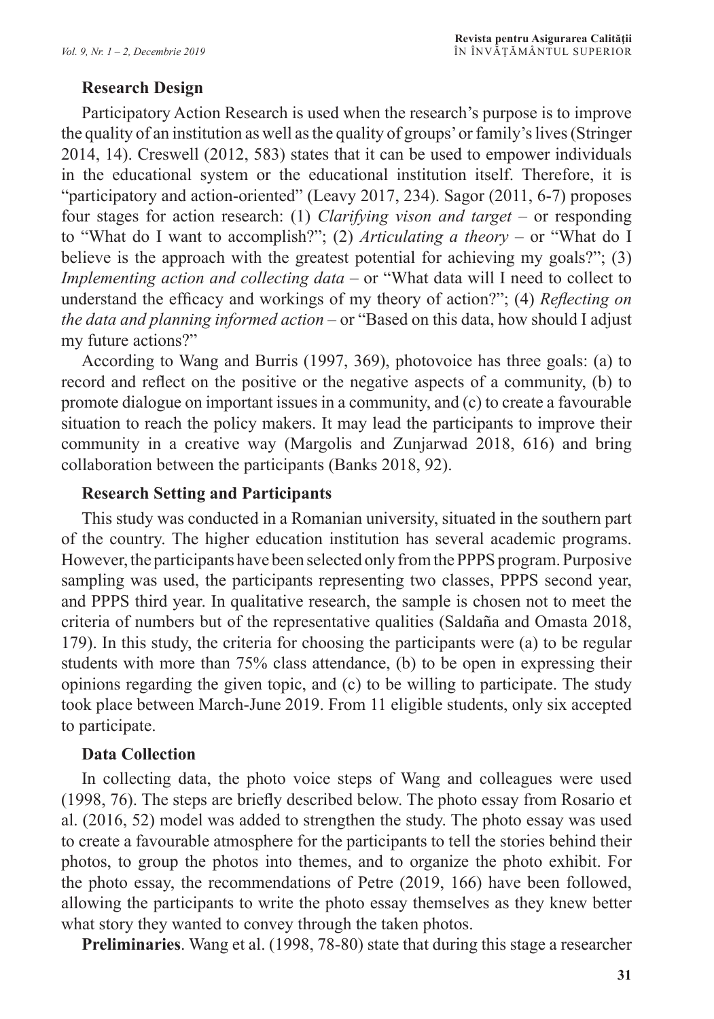#### **Research Design**

Participatory Action Research is used when the research's purpose is to improve the quality of an institution as well as the quality of groups' or family's lives (Stringer 2014, 14). Creswell (2012, 583) states that it can be used to empower individuals in the educational system or the educational institution itself. Therefore, it is "participatory and action-oriented" (Leavy 2017, 234). Sagor (2011, 6-7) proposes four stages for action research: (1) *Clarifying vison and target* – or responding to "What do I want to accomplish?"; (2) *Articulating a theory* – or "What do I believe is the approach with the greatest potential for achieving my goals?"; (3) *Implementing action and collecting data* – or "What data will I need to collect to understand the efficacy and workings of my theory of action?"; (4) *Reflecting on the data and planning informed action* – or "Based on this data, how should I adjust my future actions?"

According to Wang and Burris (1997, 369), photovoice has three goals: (a) to record and reflect on the positive or the negative aspects of a community, (b) to promote dialogue on important issues in a community, and (c) to create a favourable situation to reach the policy makers. It may lead the participants to improve their community in a creative way (Margolis and Zunjarwad 2018, 616) and bring collaboration between the participants (Banks 2018, 92).

#### **Research Setting and Participants**

This study was conducted in a Romanian university, situated in the southern part of the country. The higher education institution has several academic programs. However, the participants have been selected only from the PPPS program. Purposive sampling was used, the participants representing two classes, PPPS second year, and PPPS third year. In qualitative research, the sample is chosen not to meet the criteria of numbers but of the representative qualities (Saldaña and Omasta 2018, 179). In this study, the criteria for choosing the participants were (a) to be regular students with more than 75% class attendance, (b) to be open in expressing their opinions regarding the given topic, and (c) to be willing to participate. The study took place between March-June 2019. From 11 eligible students, only six accepted to participate.

#### **Data Collection**

In collecting data, the photo voice steps of Wang and colleagues were used (1998, 76). The steps are briefly described below. The photo essay from Rosario et al. (2016, 52) model was added to strengthen the study. The photo essay was used to create a favourable atmosphere for the participants to tell the stories behind their photos, to group the photos into themes, and to organize the photo exhibit. For the photo essay, the recommendations of Petre (2019, 166) have been followed, allowing the participants to write the photo essay themselves as they knew better what story they wanted to convey through the taken photos.

**Preliminaries**. Wang et al. (1998, 78-80) state that during this stage a researcher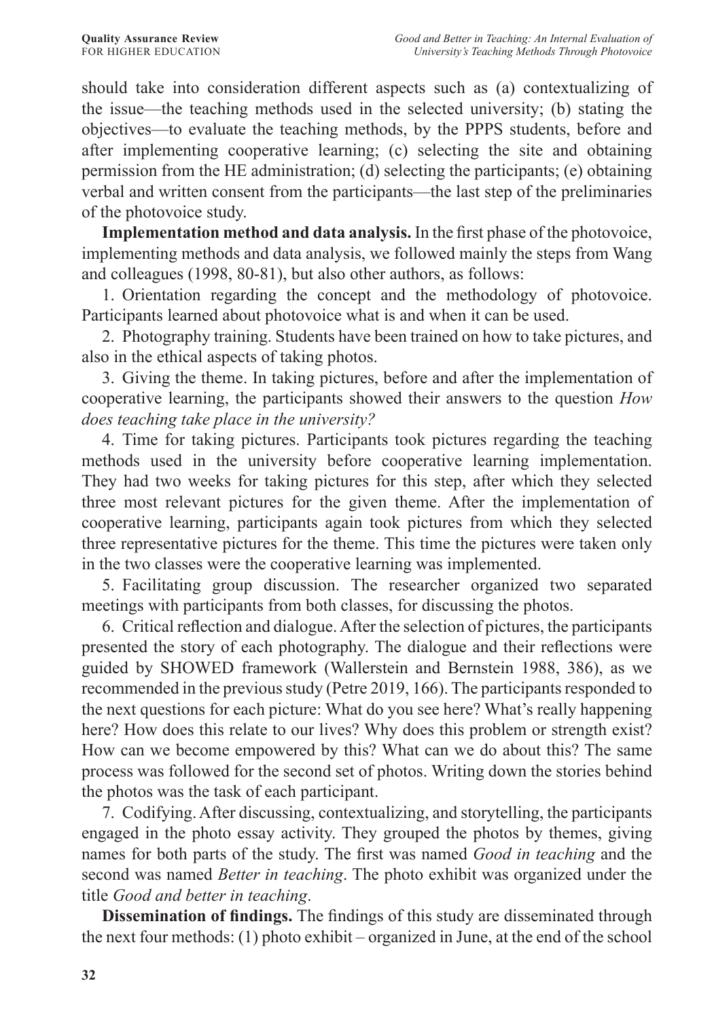should take into consideration different aspects such as (a) contextualizing of the issue—the teaching methods used in the selected university; (b) stating the objectives—to evaluate the teaching methods, by the PPPS students, before and after implementing cooperative learning; (c) selecting the site and obtaining permission from the HE administration; (d) selecting the participants; (e) obtaining verbal and written consent from the participants—the last step of the preliminaries of the photovoice study.

**Implementation method and data analysis.** In the first phase of the photovoice, implementing methods and data analysis, we followed mainly the steps from Wang and colleagues (1998, 80-81), but also other authors, as follows:

1. Orientation regarding the concept and the methodology of photovoice. Participants learned about photovoice what is and when it can be used.

2. Photography training. Students have been trained on how to take pictures, and also in the ethical aspects of taking photos.

3. Giving the theme. In taking pictures, before and after the implementation of cooperative learning, the participants showed their answers to the question *How does teaching take place in the university?*

4. Time for taking pictures. Participants took pictures regarding the teaching methods used in the university before cooperative learning implementation. They had two weeks for taking pictures for this step, after which they selected three most relevant pictures for the given theme. After the implementation of cooperative learning, participants again took pictures from which they selected three representative pictures for the theme. This time the pictures were taken only in the two classes were the cooperative learning was implemented.

5. Facilitating group discussion. The researcher organized two separated meetings with participants from both classes, for discussing the photos.

6. Critical reflection and dialogue. After the selection of pictures, the participants presented the story of each photography. The dialogue and their reflections were guided by SHOWED framework (Wallerstein and Bernstein 1988, 386), as we recommended in the previous study (Petre 2019, 166). The participants responded to the next questions for each picture: What do you see here? What's really happening here? How does this relate to our lives? Why does this problem or strength exist? How can we become empowered by this? What can we do about this? The same process was followed for the second set of photos. Writing down the stories behind the photos was the task of each participant.

7. Codifying. After discussing, contextualizing, and storytelling, the participants engaged in the photo essay activity. They grouped the photos by themes, giving names for both parts of the study. The first was named *Good in teaching* and the second was named *Better in teaching*. The photo exhibit was organized under the title *Good and better in teaching*.

**Dissemination of findings.** The findings of this study are disseminated through the next four methods: (1) photo exhibit – organized in June, at the end of the school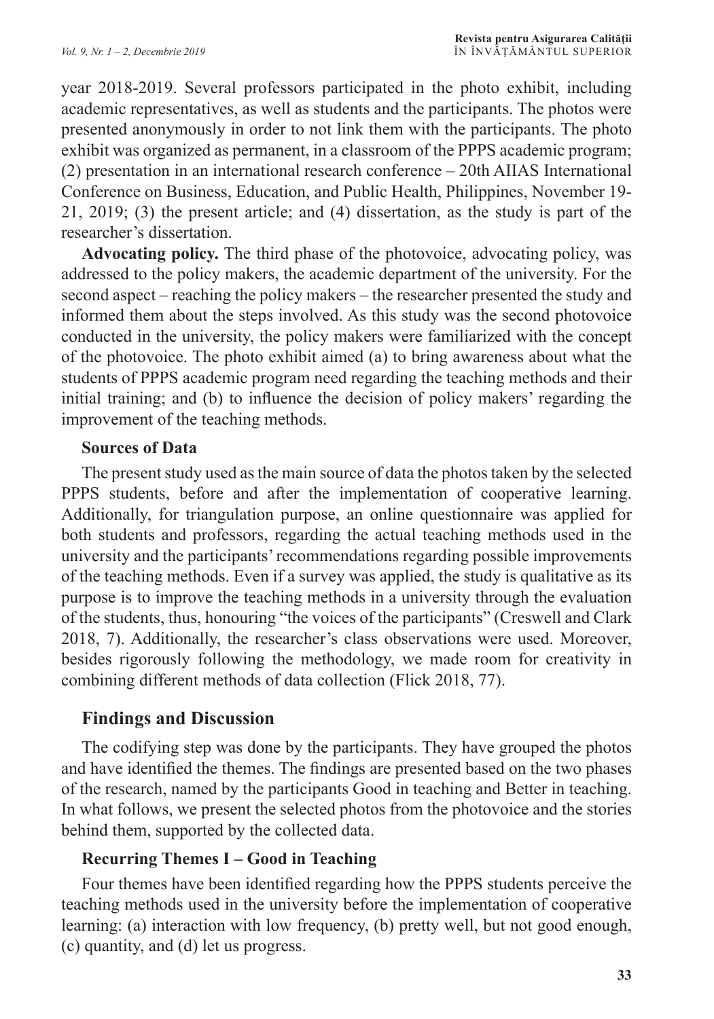year 2018-2019. Several professors participated in the photo exhibit, including academic representatives, as well as students and the participants. The photos were presented anonymously in order to not link them with the participants. The photo exhibit was organized as permanent, in a classroom of the PPPS academic program; (2) presentation in an international research conference – 20th AIIAS International Conference on Business, Education, and Public Health, Philippines, November 19- 21, 2019; (3) the present article; and (4) dissertation, as the study is part of the researcher's dissertation.

**Advocating policy.** The third phase of the photovoice, advocating policy, was addressed to the policy makers, the academic department of the university. For the second aspect – reaching the policy makers – the researcher presented the study and informed them about the steps involved. As this study was the second photovoice conducted in the university, the policy makers were familiarized with the concept of the photovoice. The photo exhibit aimed (a) to bring awareness about what the students of PPPS academic program need regarding the teaching methods and their initial training; and (b) to influence the decision of policy makers' regarding the improvement of the teaching methods.

#### **Sources of Data**

The present study used as the main source of data the photos taken by the selected PPPS students, before and after the implementation of cooperative learning. Additionally, for triangulation purpose, an online questionnaire was applied for both students and professors, regarding the actual teaching methods used in the university and the participants' recommendations regarding possible improvements of the teaching methods. Even if a survey was applied, the study is qualitative as its purpose is to improve the teaching methods in a university through the evaluation of the students, thus, honouring "the voices of the participants" (Creswell and Clark 2018, 7). Additionally, the researcher's class observations were used. Moreover, besides rigorously following the methodology, we made room for creativity in combining different methods of data collection (Flick 2018, 77).

## **Findings and Discussion**

The codifying step was done by the participants. They have grouped the photos and have identified the themes. The findings are presented based on the two phases of the research, named by the participants Good in teaching and Better in teaching. In what follows, we present the selected photos from the photovoice and the stories behind them, supported by the collected data.

#### **Recurring Themes I – Good in Teaching**

Four themes have been identified regarding how the PPPS students perceive the teaching methods used in the university before the implementation of cooperative learning: (a) interaction with low frequency, (b) pretty well, but not good enough, (c) quantity, and (d) let us progress.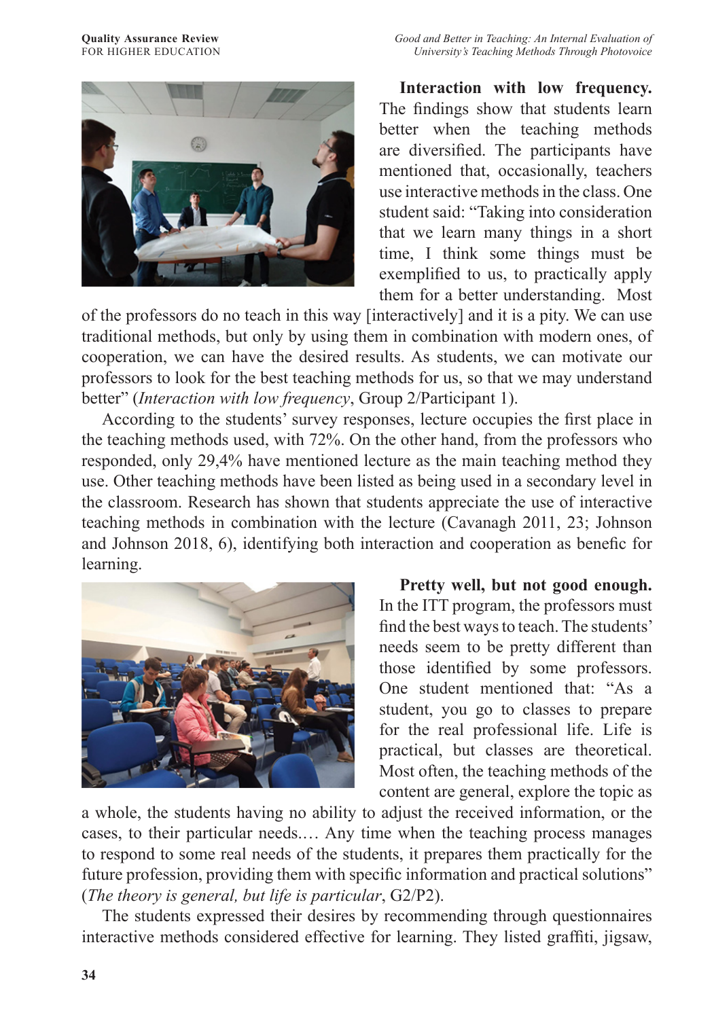



**Interaction with low frequency.** The findings show that students learn better when the teaching methods are diversified. The participants have mentioned that, occasionally, teachers use interactive methods in the class. One student said: "Taking into consideration that we learn many things in a short time, I think some things must be exemplified to us, to practically apply them for a better understanding. Most

of the professors do no teach in this way [interactively] and it is a pity. We can use traditional methods, but only by using them in combination with modern ones, of cooperation, we can have the desired results. As students, we can motivate our professors to look for the best teaching methods for us, so that we may understand better" (*Interaction with low frequency*, Group 2/Participant 1).

According to the students' survey responses, lecture occupies the first place in the teaching methods used, with 72%. On the other hand, from the professors who responded, only 29,4% have mentioned lecture as the main teaching method they use. Other teaching methods have been listed as being used in a secondary level in the classroom. Research has shown that students appreciate the use of interactive teaching methods in combination with the lecture (Cavanagh 2011, 23; Johnson and Johnson 2018, 6), identifying both interaction and cooperation as benefic for learning.



**Pretty well, but not good enough.**  In the ITT program, the professors must find the best ways to teach. The students' needs seem to be pretty different than those identified by some professors. One student mentioned that: "As a student, you go to classes to prepare for the real professional life. Life is practical, but classes are theoretical. Most often, the teaching methods of the content are general, explore the topic as

a whole, the students having no ability to adjust the received information, or the cases, to their particular needs.… Any time when the teaching process manages to respond to some real needs of the students, it prepares them practically for the future profession, providing them with specific information and practical solutions" (*The theory is general, but life is particular*, G2/P2).

The students expressed their desires by recommending through questionnaires interactive methods considered effective for learning. They listed graffiti, jigsaw,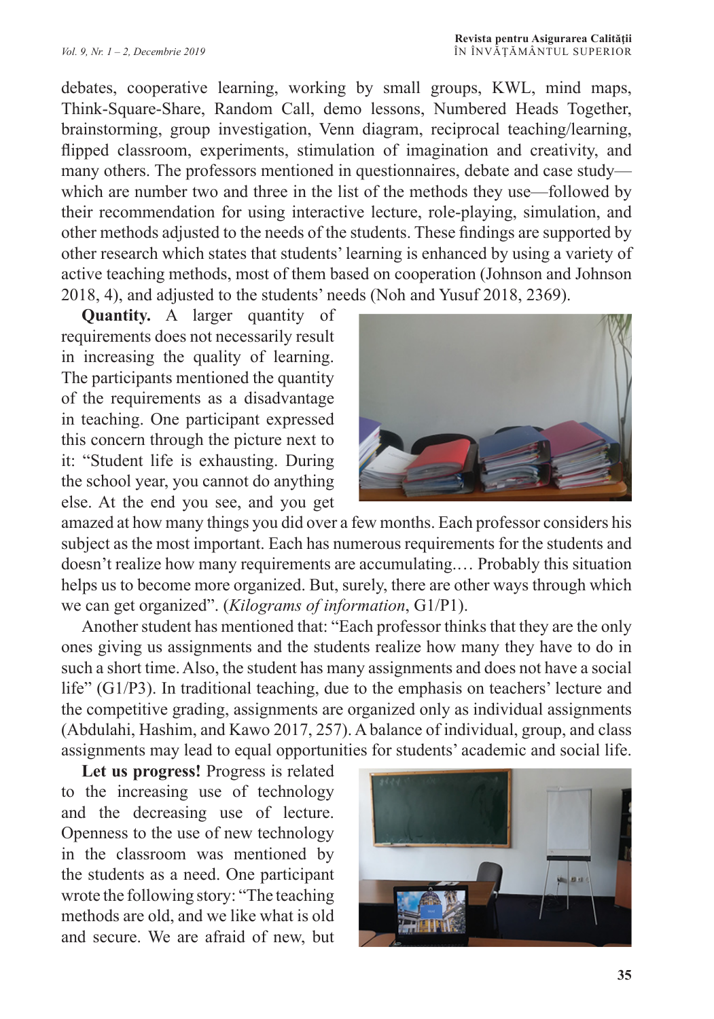debates, cooperative learning, working by small groups, KWL, mind maps, Think-Square-Share, Random Call, demo lessons, Numbered Heads Together, brainstorming, group investigation, Venn diagram, reciprocal teaching/learning, flipped classroom, experiments, stimulation of imagination and creativity, and many others. The professors mentioned in questionnaires, debate and case study which are number two and three in the list of the methods they use—followed by their recommendation for using interactive lecture, role-playing, simulation, and other methods adjusted to the needs of the students. These findings are supported by other research which states that students' learning is enhanced by using a variety of active teaching methods, most of them based on cooperation (Johnson and Johnson 2018, 4), and adjusted to the students' needs (Noh and Yusuf 2018, 2369).

**Quantity.** A larger quantity of requirements does not necessarily result in increasing the quality of learning. The participants mentioned the quantity of the requirements as a disadvantage in teaching. One participant expressed this concern through the picture next to it: "Student life is exhausting. During the school year, you cannot do anything else. At the end you see, and you get



amazed at how many things you did over a few months. Each professor considers his subject as the most important. Each has numerous requirements for the students and doesn't realize how many requirements are accumulating.… Probably this situation helps us to become more organized. But, surely, there are other ways through which we can get organized". (*Kilograms of information*, G1/P1).

Another student has mentioned that: "Each professor thinks that they are the only ones giving us assignments and the students realize how many they have to do in such a short time. Also, the student has many assignments and does not have a social life" (G1/P3). In traditional teaching, due to the emphasis on teachers' lecture and the competitive grading, assignments are organized only as individual assignments (Abdulahi, Hashim, and Kawo 2017, 257). A balance of individual, group, and class assignments may lead to equal opportunities for students' academic and social life.

**Let us progress!** Progress is related to the increasing use of technology and the decreasing use of lecture. Openness to the use of new technology in the classroom was mentioned by the students as a need. One participant wrote the following story: "The teaching methods are old, and we like what is old and secure. We are afraid of new, but

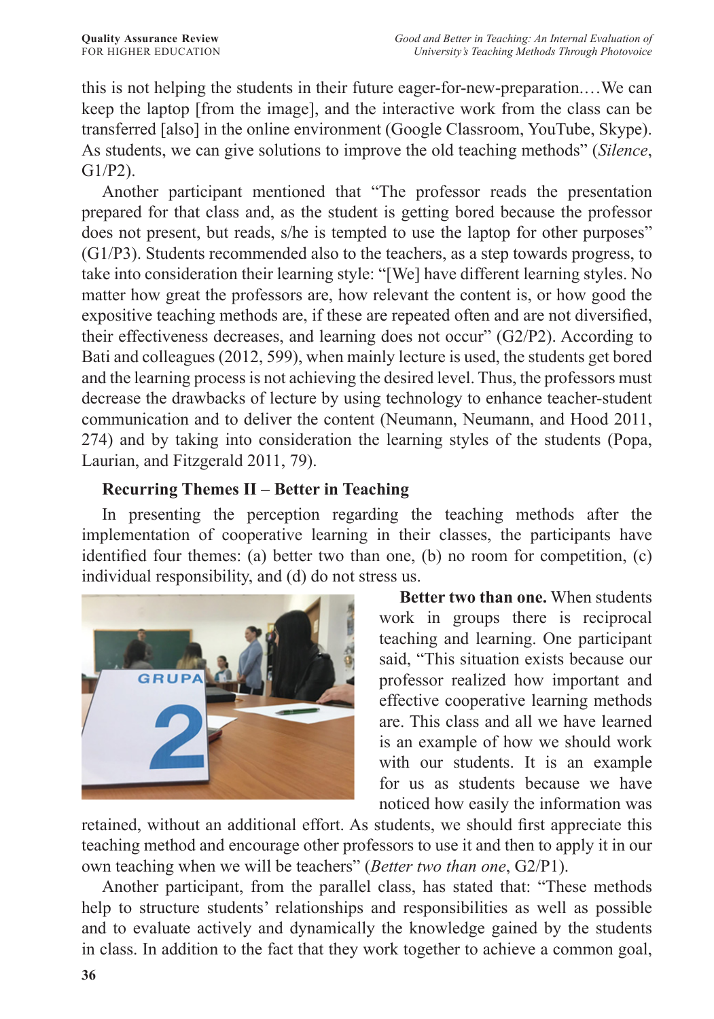this is not helping the students in their future eager-for-new-preparation.…We can keep the laptop [from the image], and the interactive work from the class can be transferred [also] in the online environment (Google Classroom, YouTube, Skype). As students, we can give solutions to improve the old teaching methods" (*Silence*, G1/P2).

Another participant mentioned that "The professor reads the presentation prepared for that class and, as the student is getting bored because the professor does not present, but reads, s/he is tempted to use the laptop for other purposes" (G1/P3). Students recommended also to the teachers, as a step towards progress, to take into consideration their learning style: "[We] have different learning styles. No matter how great the professors are, how relevant the content is, or how good the expositive teaching methods are, if these are repeated often and are not diversified, their effectiveness decreases, and learning does not occur" (G2/P2). According to Bati and colleagues (2012, 599), when mainly lecture is used, the students get bored and the learning process is not achieving the desired level. Thus, the professors must decrease the drawbacks of lecture by using technology to enhance teacher-student communication and to deliver the content (Neumann, Neumann, and Hood 2011, 274) and by taking into consideration the learning styles of the students (Popa, Laurian, and Fitzgerald 2011, 79).

## **Recurring Themes II – Better in Teaching**

In presenting the perception regarding the teaching methods after the implementation of cooperative learning in their classes, the participants have identified four themes: (a) better two than one, (b) no room for competition, (c) individual responsibility, and (d) do not stress us.



**Better two than one.** When students work in groups there is reciprocal teaching and learning. One participant said, "This situation exists because our professor realized how important and effective cooperative learning methods are. This class and all we have learned is an example of how we should work with our students. It is an example for us as students because we have noticed how easily the information was

retained, without an additional effort. As students, we should first appreciate this teaching method and encourage other professors to use it and then to apply it in our own teaching when we will be teachers" (*Better two than one*, G2/P1).

Another participant, from the parallel class, has stated that: "These methods help to structure students' relationships and responsibilities as well as possible and to evaluate actively and dynamically the knowledge gained by the students in class. In addition to the fact that they work together to achieve a common goal,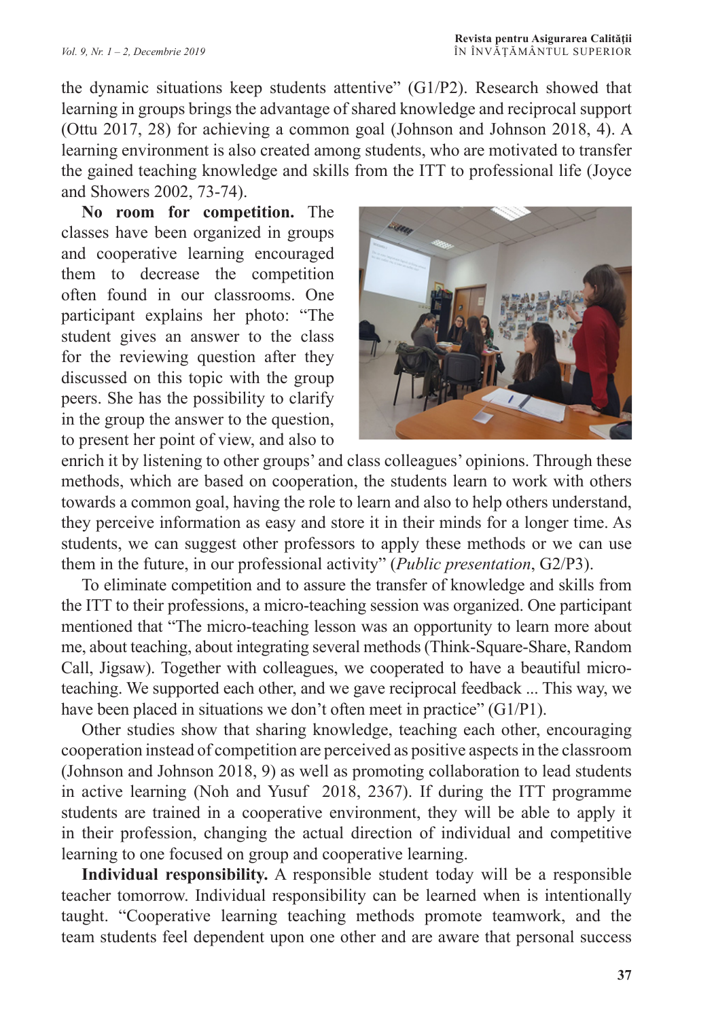the dynamic situations keep students attentive" (G1/P2). Research showed that learning in groups brings the advantage of shared knowledge and reciprocal support (Ottu 2017, 28) for achieving a common goal (Johnson and Johnson 2018, 4). A learning environment is also created among students, who are motivated to transfer the gained teaching knowledge and skills from the ITT to professional life (Joyce and Showers 2002, 73-74).

**No room for competition.** The classes have been organized in groups and cooperative learning encouraged them to decrease the competition often found in our classrooms. One participant explains her photo: "The student gives an answer to the class for the reviewing question after they discussed on this topic with the group peers. She has the possibility to clarify in the group the answer to the question, to present her point of view, and also to



enrich it by listening to other groups' and class colleagues' opinions. Through these methods, which are based on cooperation, the students learn to work with others towards a common goal, having the role to learn and also to help others understand, they perceive information as easy and store it in their minds for a longer time. As students, we can suggest other professors to apply these methods or we can use them in the future, in our professional activity" (*Public presentation*, G2/P3).

To eliminate competition and to assure the transfer of knowledge and skills from the ITT to their professions, a micro-teaching session was organized. One participant mentioned that "The micro-teaching lesson was an opportunity to learn more about me, about teaching, about integrating several methods (Think-Square-Share, Random Call, Jigsaw). Together with colleagues, we cooperated to have a beautiful microteaching. We supported each other, and we gave reciprocal feedback ... This way, we have been placed in situations we don't often meet in practice" (G1/P1).

Other studies show that sharing knowledge, teaching each other, encouraging cooperation instead of competition are perceived as positive aspects in the classroom (Johnson and Johnson 2018, 9) as well as promoting collaboration to lead students in active learning (Noh and Yusuf 2018, 2367). If during the ITT programme students are trained in a cooperative environment, they will be able to apply it in their profession, changing the actual direction of individual and competitive learning to one focused on group and cooperative learning.

**Individual responsibility.** A responsible student today will be a responsible teacher tomorrow. Individual responsibility can be learned when is intentionally taught. "Cooperative learning teaching methods promote teamwork, and the team students feel dependent upon one other and are aware that personal success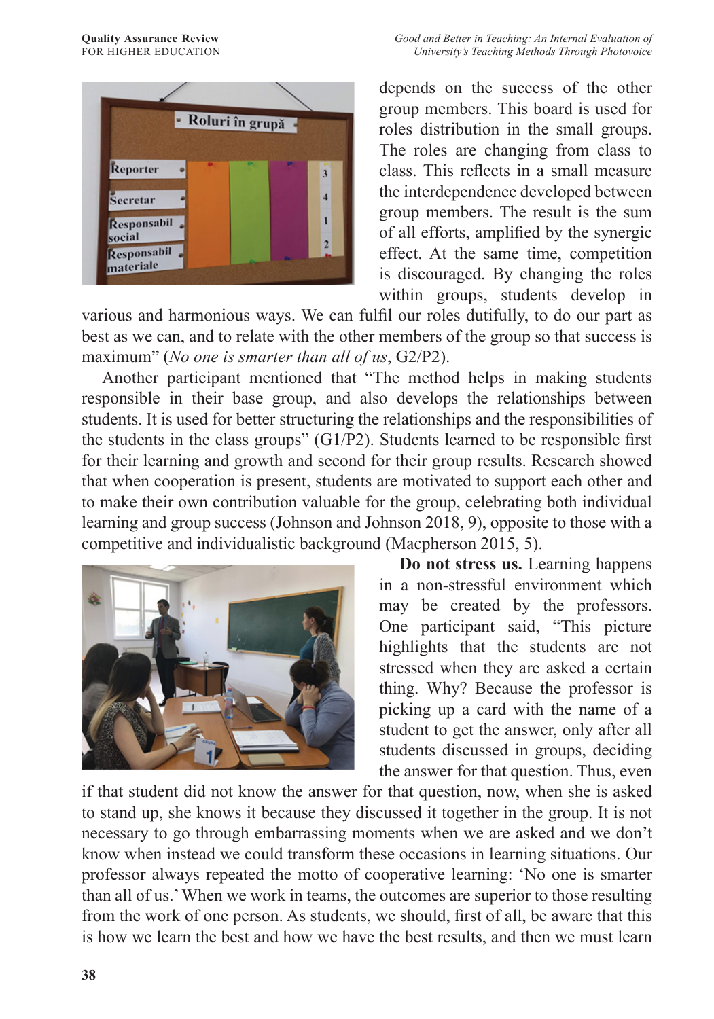

depends on the success of the other group members. This board is used for roles distribution in the small groups. The roles are changing from class to class. This reflects in a small measure the interdependence developed between group members. The result is the sum of all efforts, amplified by the synergic effect. At the same time, competition is discouraged. By changing the roles within groups, students develop in

various and harmonious ways. We can fulfil our roles dutifully, to do our part as best as we can, and to relate with the other members of the group so that success is maximum" (*No one is smarter than all of us*, G2/P2).

Another participant mentioned that "The method helps in making students responsible in their base group, and also develops the relationships between students. It is used for better structuring the relationships and the responsibilities of the students in the class groups" (G1/P2). Students learned to be responsible first for their learning and growth and second for their group results. Research showed that when cooperation is present, students are motivated to support each other and to make their own contribution valuable for the group, celebrating both individual learning and group success (Johnson and Johnson 2018, 9), opposite to those with a competitive and individualistic background (Macpherson 2015, 5).



**Do not stress us.** Learning happens in a non-stressful environment which may be created by the professors. One participant said, "This picture highlights that the students are not stressed when they are asked a certain thing. Why? Because the professor is picking up a card with the name of a student to get the answer, only after all students discussed in groups, deciding the answer for that question. Thus, even

if that student did not know the answer for that question, now, when she is asked to stand up, she knows it because they discussed it together in the group. It is not necessary to go through embarrassing moments when we are asked and we don't know when instead we could transform these occasions in learning situations. Our professor always repeated the motto of cooperative learning: 'No one is smarter than all of us.' When we work in teams, the outcomes are superior to those resulting from the work of one person. As students, we should, first of all, be aware that this is how we learn the best and how we have the best results, and then we must learn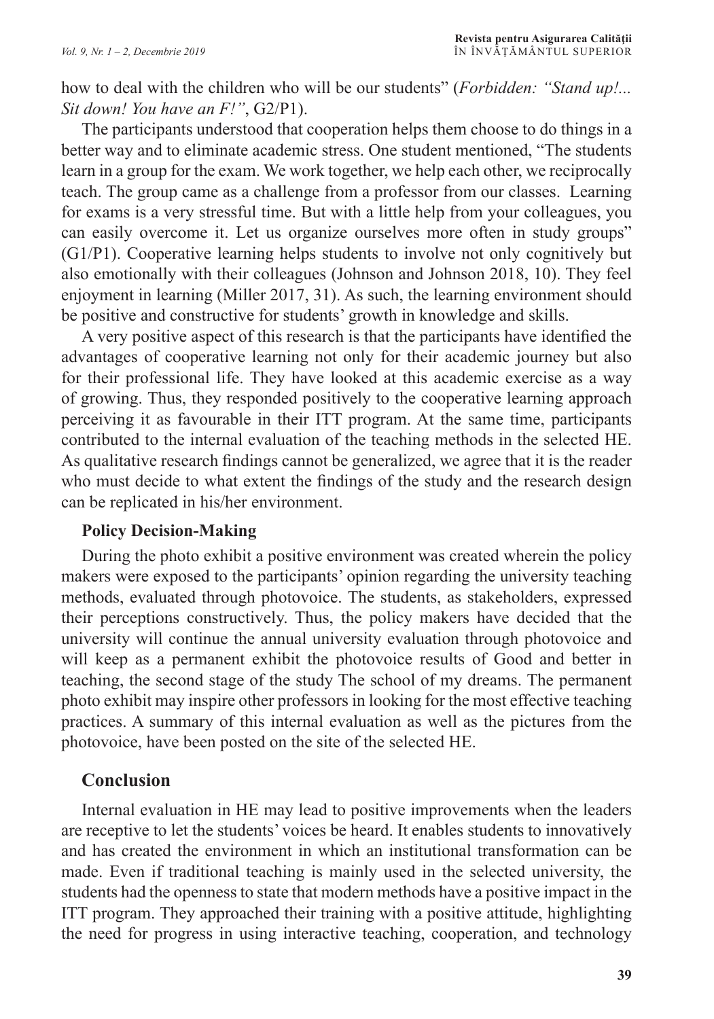how to deal with the children who will be our students" (*Forbidden: "Stand up!... Sit down! You have an F!"*, G2/P1).

The participants understood that cooperation helps them choose to do things in a better way and to eliminate academic stress. One student mentioned, "The students learn in a group for the exam. We work together, we help each other, we reciprocally teach. The group came as a challenge from a professor from our classes. Learning for exams is a very stressful time. But with a little help from your colleagues, you can easily overcome it. Let us organize ourselves more often in study groups" (G1/P1). Cooperative learning helps students to involve not only cognitively but also emotionally with their colleagues (Johnson and Johnson 2018, 10). They feel enjoyment in learning (Miller 2017, 31). As such, the learning environment should be positive and constructive for students' growth in knowledge and skills.

A very positive aspect of this research is that the participants have identified the advantages of cooperative learning not only for their academic journey but also for their professional life. They have looked at this academic exercise as a way of growing. Thus, they responded positively to the cooperative learning approach perceiving it as favourable in their ITT program. At the same time, participants contributed to the internal evaluation of the teaching methods in the selected HE. As qualitative research findings cannot be generalized, we agree that it is the reader who must decide to what extent the findings of the study and the research design can be replicated in his/her environment.

#### **Policy Decision-Making**

During the photo exhibit a positive environment was created wherein the policy makers were exposed to the participants' opinion regarding the university teaching methods, evaluated through photovoice. The students, as stakeholders, expressed their perceptions constructively. Thus, the policy makers have decided that the university will continue the annual university evaluation through photovoice and will keep as a permanent exhibit the photovoice results of Good and better in teaching, the second stage of the study The school of my dreams. The permanent photo exhibit may inspire other professors in looking for the most effective teaching practices. A summary of this internal evaluation as well as the pictures from the photovoice, have been posted on the site of the selected HE.

## **Conclusion**

Internal evaluation in HE may lead to positive improvements when the leaders are receptive to let the students' voices be heard. It enables students to innovatively and has created the environment in which an institutional transformation can be made. Even if traditional teaching is mainly used in the selected university, the students had the openness to state that modern methods have a positive impact in the ITT program. They approached their training with a positive attitude, highlighting the need for progress in using interactive teaching, cooperation, and technology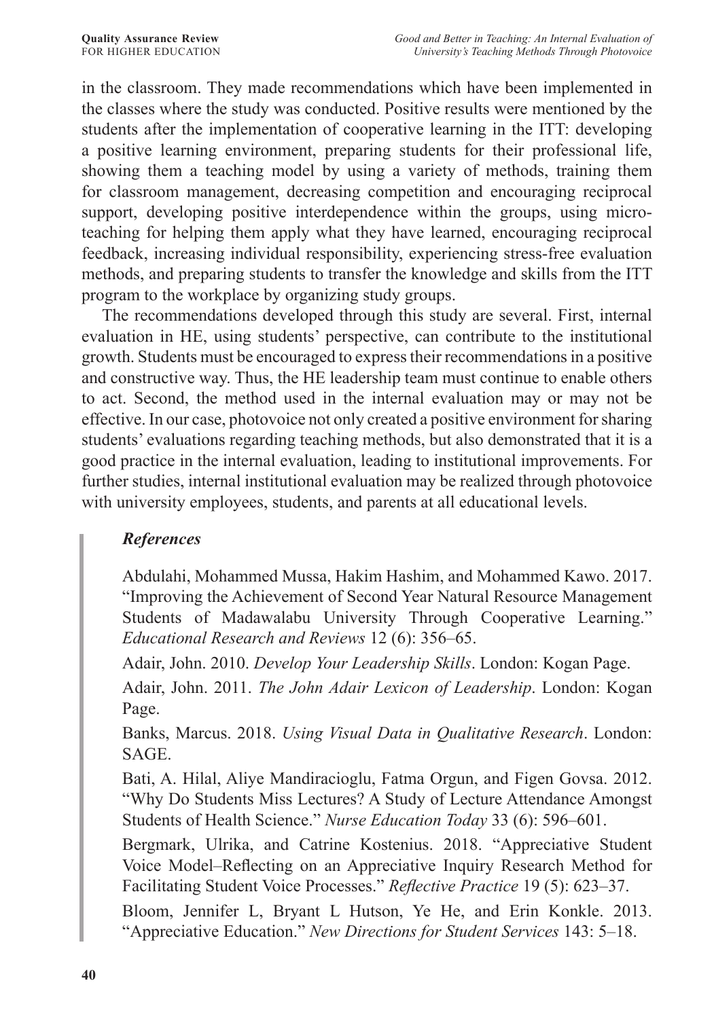in the classroom. They made recommendations which have been implemented in the classes where the study was conducted. Positive results were mentioned by the students after the implementation of cooperative learning in the ITT: developing a positive learning environment, preparing students for their professional life, showing them a teaching model by using a variety of methods, training them for classroom management, decreasing competition and encouraging reciprocal support, developing positive interdependence within the groups, using microteaching for helping them apply what they have learned, encouraging reciprocal feedback, increasing individual responsibility, experiencing stress-free evaluation methods, and preparing students to transfer the knowledge and skills from the ITT program to the workplace by organizing study groups.

The recommendations developed through this study are several. First, internal evaluation in HE, using students' perspective, can contribute to the institutional growth. Students must be encouraged to express their recommendations in a positive and constructive way. Thus, the HE leadership team must continue to enable others to act. Second, the method used in the internal evaluation may or may not be effective. In our case, photovoice not only created a positive environment for sharing students' evaluations regarding teaching methods, but also demonstrated that it is a good practice in the internal evaluation, leading to institutional improvements. For further studies, internal institutional evaluation may be realized through photovoice with university employees, students, and parents at all educational levels.

## *References*

Abdulahi, Mohammed Mussa, Hakim Hashim, and Mohammed Kawo. 2017. "Improving the Achievement of Second Year Natural Resource Management Students of Madawalabu University Through Cooperative Learning." *Educational Research and Reviews* 12 (6): 356–65.

Adair, John. 2010. *Develop Your Leadership Skills*. London: Kogan Page.

Adair, John. 2011. *The John Adair Lexicon of Leadership*. London: Kogan Page.

Banks, Marcus. 2018. *Using Visual Data in Qualitative Research*. London: SAGE.

Bati, A. Hilal, Aliye Mandiracioglu, Fatma Orgun, and Figen Govsa. 2012. "Why Do Students Miss Lectures? A Study of Lecture Attendance Amongst Students of Health Science." *Nurse Education Today* 33 (6): 596–601.

Bergmark, Ulrika, and Catrine Kostenius. 2018. "Appreciative Student Voice Model–Reflecting on an Appreciative Inquiry Research Method for Facilitating Student Voice Processes." *Reflective Practice* 19 (5): 623–37.

Bloom, Jennifer L, Bryant L Hutson, Ye He, and Erin Konkle. 2013. "Appreciative Education." *New Directions for Student Services* 143: 5–18.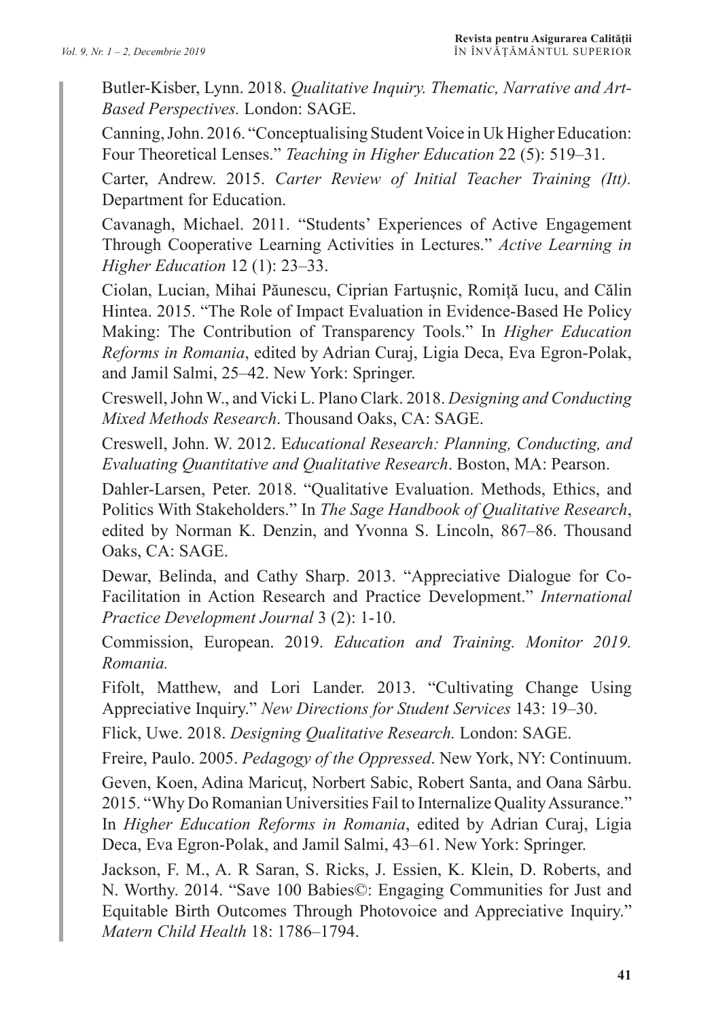Butler-Kisber, Lynn. 2018. *Qualitative Inquiry. Thematic, Narrative and Art-Based Perspectives.* London: SAGE.

Canning, John. 2016. "Conceptualising Student Voice in Uk Higher Education: Four Theoretical Lenses." *Teaching in Higher Education* 22 (5): 519–31.

Carter, Andrew. 2015. *Carter Review of Initial Teacher Training (Itt).* Department for Education.

Cavanagh, Michael. 2011. "Students' Experiences of Active Engagement Through Cooperative Learning Activities in Lectures." *Active Learning in Higher Education* 12 (1): 23–33.

Ciolan, Lucian, Mihai Păunescu, Ciprian Fartuşnic, Romiță Iucu, and Călin Hintea. 2015. "The Role of Impact Evaluation in Evidence-Based He Policy Making: The Contribution of Transparency Tools." In *Higher Education Reforms in Romania*, edited by Adrian Curaj, Ligia Deca, Eva Egron-Polak, and Jamil Salmi, 25–42. New York: Springer.

Creswell, John W., and Vicki L. Plano Clark. 2018. *Designing and Conducting Mixed Methods Research*. Thousand Oaks, CA: SAGE.

Creswell, John. W. 2012. E*ducational Research: Planning, Conducting, and Evaluating Quantitative and Qualitative Research*. Boston, MA: Pearson.

Dahler-Larsen, Peter. 2018. "Qualitative Evaluation. Methods, Ethics, and Politics With Stakeholders." In *The Sage Handbook of Qualitative Research*, edited by Norman K. Denzin, and Yvonna S. Lincoln, 867–86. Thousand Oaks, CA: SAGE.

Dewar, Belinda, and Cathy Sharp. 2013. "Appreciative Dialogue for Co-Facilitation in Action Research and Practice Development." *International Practice Development Journal* 3 (2): 1-10.

Commission, European. 2019. *Education and Training. Monitor 2019. Romania.* 

Fifolt, Matthew, and Lori Lander. 2013. "Cultivating Change Using Appreciative Inquiry." *New Directions for Student Services* 143: 19–30.

Flick, Uwe. 2018. *Designing Qualitative Research.* London: SAGE.

Freire, Paulo. 2005. *Pedagogy of the Oppressed*. New York, NY: Continuum.

Geven, Koen, Adina Maricuţ, Norbert Sabic, Robert Santa, and Oana Sârbu. 2015. "Why Do Romanian Universities Fail to Internalize Quality Assurance." In *Higher Education Reforms in Romania*, edited by Adrian Curaj, Ligia Deca, Eva Egron-Polak, and Jamil Salmi, 43–61. New York: Springer.

Jackson, F. M., A. R Saran, S. Ricks, J. Essien, K. Klein, D. Roberts, and N. Worthy. 2014. "Save 100 Babies©: Engaging Communities for Just and Equitable Birth Outcomes Through Photovoice and Appreciative Inquiry." *Matern Child Health* 18: 1786–1794.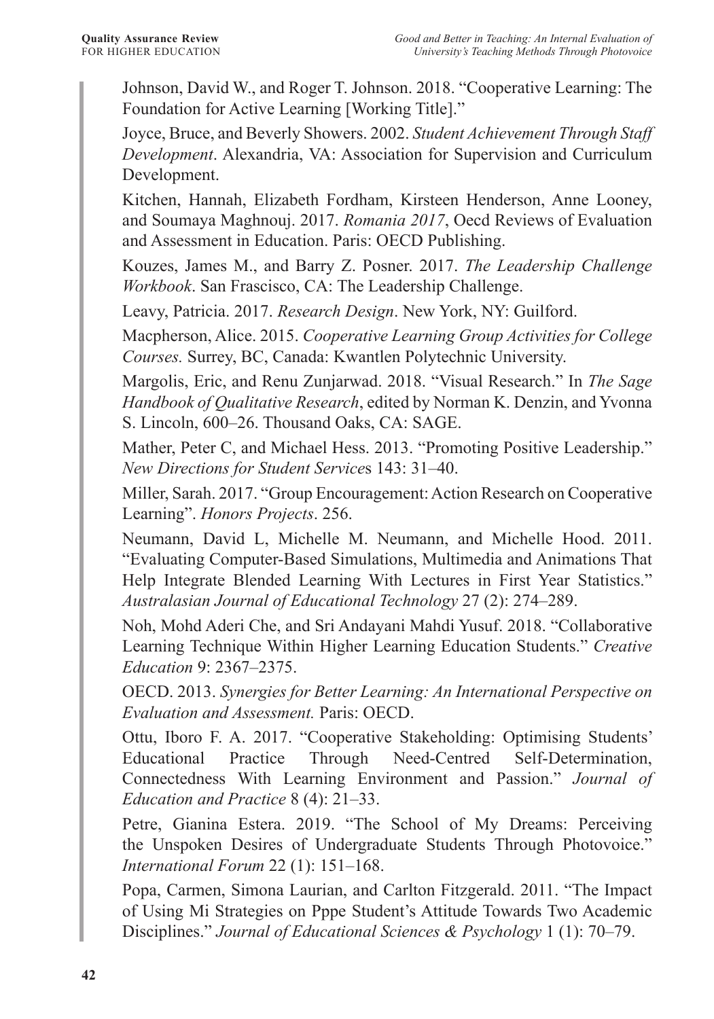Johnson, David W., and Roger T. Johnson. 2018. "Cooperative Learning: The Foundation for Active Learning [Working Title]."

Joyce, Bruce, and Beverly Showers. 2002. *Student Achievement Through Staff Development*. Alexandria, VA: Association for Supervision and Curriculum Development.

Kitchen, Hannah, Elizabeth Fordham, Kirsteen Henderson, Anne Looney, and Soumaya Maghnouj. 2017. *Romania 2017*, Oecd Reviews of Evaluation and Assessment in Education. Paris: OECD Publishing.

Kouzes, James M., and Barry Z. Posner. 2017. *The Leadership Challenge Workbook*. San Frascisco, CA: The Leadership Challenge.

Leavy, Patricia. 2017. *Research Design*. New York, NY: Guilford.

Macpherson, Alice. 2015. *Cooperative Learning Group Activities for College Courses.* Surrey, BC, Canada: Kwantlen Polytechnic University.

Margolis, Eric, and Renu Zunjarwad. 2018. "Visual Research." In *The Sage Handbook of Qualitative Research*, edited by Norman K. Denzin, and Yvonna S. Lincoln, 600–26. Thousand Oaks, CA: SAGE.

Mather, Peter C, and Michael Hess. 2013. "Promoting Positive Leadership." *New Directions for Student Service*s 143: 31–40.

Miller, Sarah. 2017. "Group Encouragement: Action Research on Cooperative Learning". *Honors Projects*. 256.

Neumann, David L, Michelle M. Neumann, and Michelle Hood. 2011. "Evaluating Computer-Based Simulations, Multimedia and Animations That Help Integrate Blended Learning With Lectures in First Year Statistics." *Australasian Journal of Educational Technology* 27 (2): 274–289.

Noh, Mohd Aderi Che, and Sri Andayani Mahdi Yusuf. 2018. "Collaborative Learning Technique Within Higher Learning Education Students." *Creative Education* 9: 2367–2375.

OECD. 2013. *Synergies for Better Learning: An International Perspective on Evaluation and Assessment.* Paris: OECD.

Ottu, Iboro F. A. 2017. "Cooperative Stakeholding: Optimising Students' Educational Practice Through Need-Centred Self-Determination, Connectedness With Learning Environment and Passion." *Journal of Education and Practice* 8 (4): 21–33.

Petre, Gianina Estera. 2019. "The School of My Dreams: Perceiving the Unspoken Desires of Undergraduate Students Through Photovoice." *International Forum* 22 (1): 151–168.

Popa, Carmen, Simona Laurian, and Carlton Fitzgerald. 2011. "The Impact of Using Mi Strategies on Pppe Student's Attitude Towards Two Academic Disciplines." *Journal of Educational Sciences & Psychology* 1 (1): 70–79.